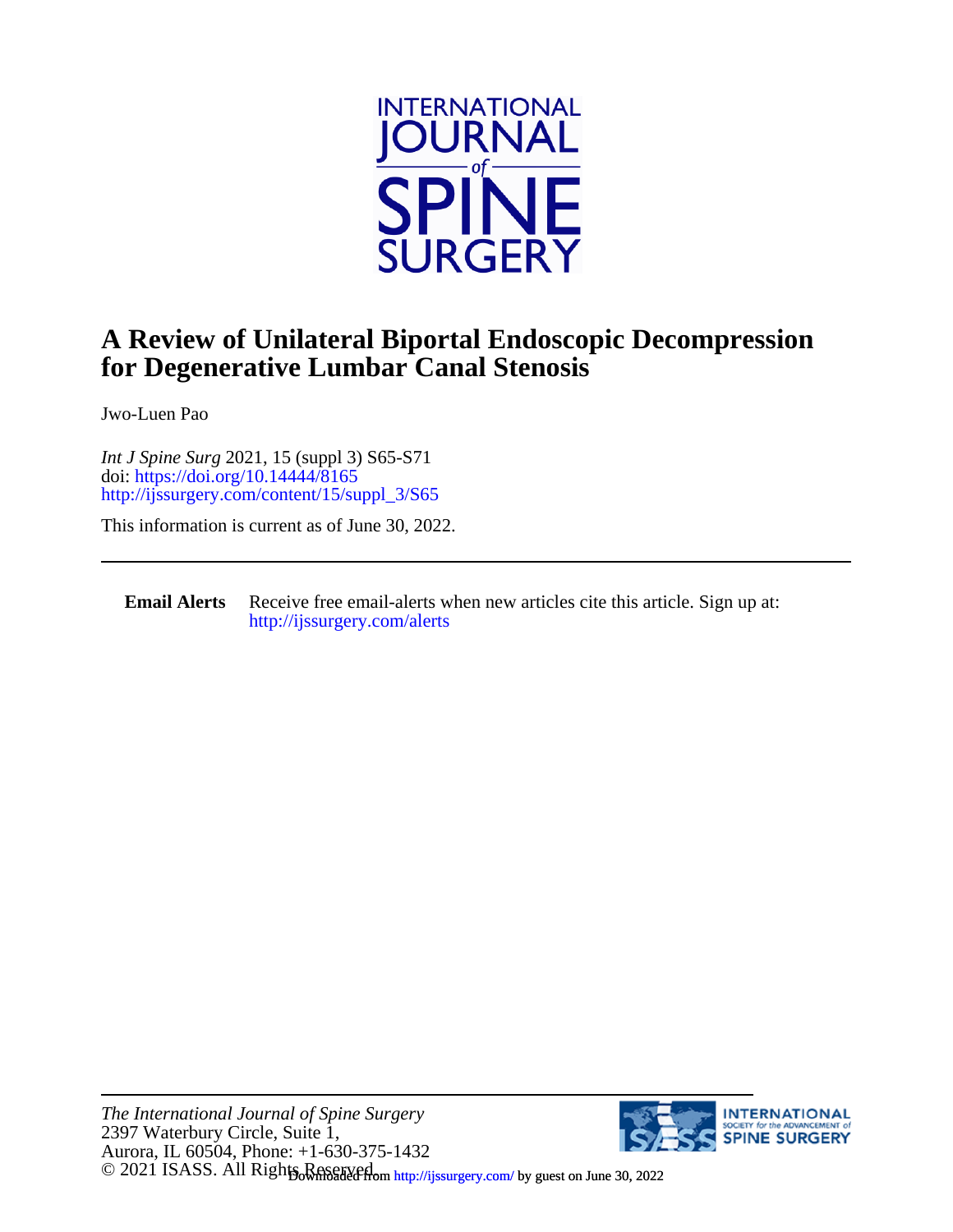

## **for Degenerative Lumbar Canal Stenosis A Review of Unilateral Biportal Endoscopic Decompression**

Jwo-Luen Pao

[http://ijssurgery.com/content/15/suppl\\_3/S65](http://ijssurgery.com/content/15/suppl_3/S65) doi:<https://doi.org/10.14444/8165> *Int J Spine Surg* 2021, 15 (suppl 3) S65-S71

This information is current as of June 30, 2022.

**Email Alerts** [http://ijssurgery.com/alerts](http://jpm.iijournals.com/alerts) Receive free email-alerts when new articles cite this article. Sign up at:

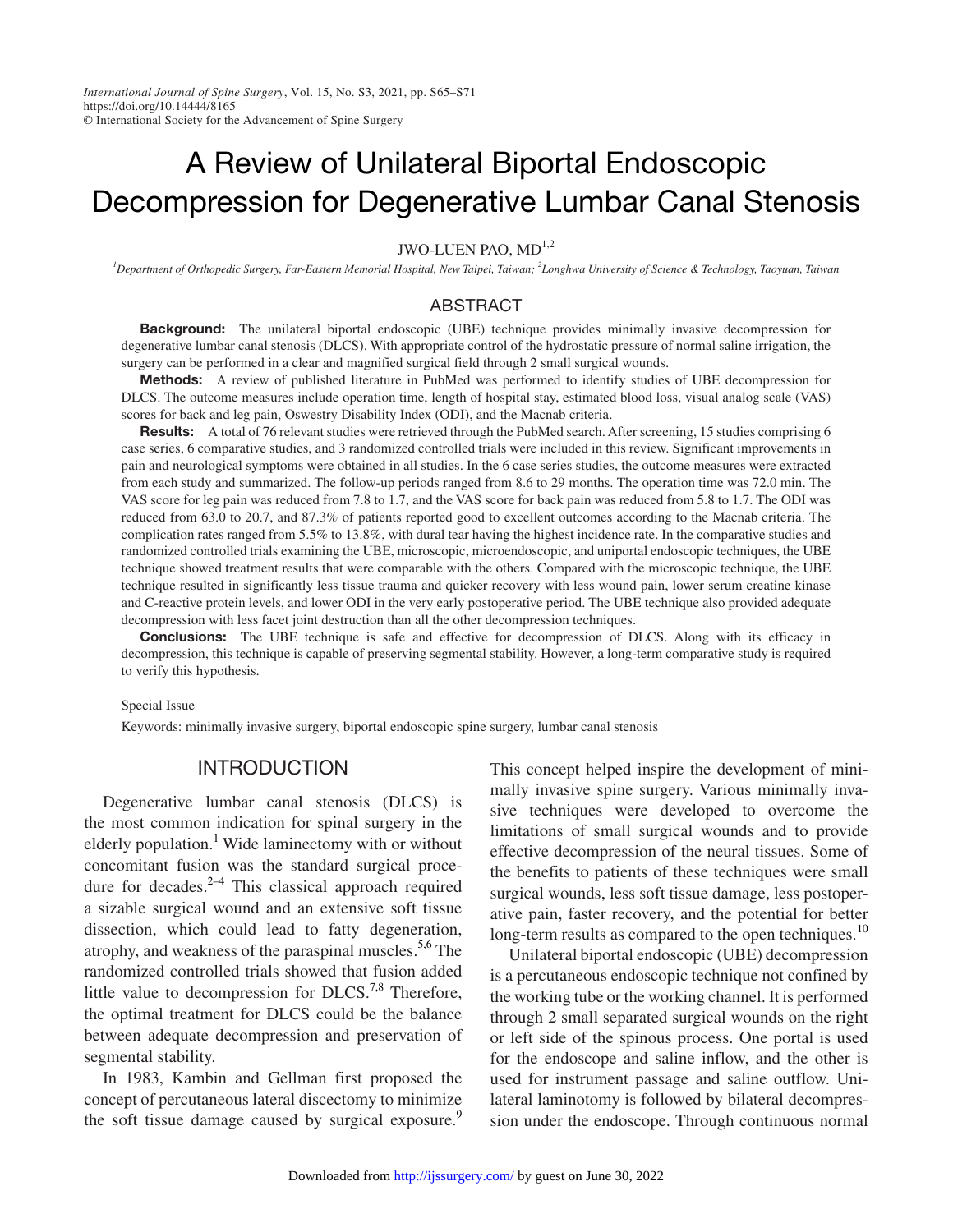*International Journal of Spine Surgery*, Vol. 15, No. S3, 2021, pp. S65–S71 https://doi.org/10.14444/8165 © International Society for the Advancement of Spine Surgery

# A Review of Unilateral Biportal Endoscopic Decompression for Degenerative Lumbar Canal Stenosis

JWO-LUEN PAO, MD<sup>1,2</sup>

*1 Department of Orthopedic Surgery, Far-Eastern Memorial Hospital, New Taipei, Taiwan; 2 Longhwa University of Science & Technology, Taoyuan, Taiwan*

#### ABSTRACT

**Background:** The unilateral biportal endoscopic (UBE) technique provides minimally invasive decompression for degenerative lumbar canal stenosis (DLCS). With appropriate control of the hydrostatic pressure of normal saline irrigation, the surgery can be performed in a clear and magnified surgical field through 2 small surgical wounds.

Methods: A review of published literature in PubMed was performed to identify studies of UBE decompression for DLCS. The outcome measures include operation time, length of hospital stay, estimated blood loss, visual analog scale (VAS) scores for back and leg pain, Oswestry Disability Index (ODI), and the Macnab criteria.

Results: A total of 76 relevant studies were retrieved through the PubMed search. After screening, 15 studies comprising 6 case series, 6 comparative studies, and 3 randomized controlled trials were included in this review. Significant improvements in pain and neurological symptoms were obtained in all studies. In the 6 case series studies, the outcome measures were extracted from each study and summarized. The follow-up periods ranged from 8.6 to 29 months. The operation time was 72.0 min. The VAS score for leg pain was reduced from 7.8 to 1.7, and the VAS score for back pain was reduced from 5.8 to 1.7. The ODI was reduced from 63.0 to 20.7, and 87.3% of patients reported good to excellent outcomes according to the Macnab criteria. The complication rates ranged from 5.5% to 13.8%, with dural tear having the highest incidence rate. In the comparative studies and randomized controlled trials examining the UBE, microscopic, microendoscopic, and uniportal endoscopic techniques, the UBE technique showed treatment results that were comparable with the others. Compared with the microscopic technique, the UBE technique resulted in significantly less tissue trauma and quicker recovery with less wound pain, lower serum creatine kinase and C-reactive protein levels, and lower ODI in the very early postoperative period. The UBE technique also provided adequate decompression with less facet joint destruction than all the other decompression techniques.

**Conclusions:** The UBE technique is safe and effective for decompression of DLCS. Along with its efficacy in decompression, this technique is capable of preserving segmental stability. However, a long-term comparative study is required to verify this hypothesis.

Special Issue

Keywords: minimally invasive surgery, biportal endoscopic spine surgery, lumbar canal stenosis

### **INTRODUCTION**

Degenerative lumbar canal stenosis (DLCS) is the most common indication for spinal surgery in the elderly population.<sup>1</sup> Wide laminectomy with or without concomitant fusion was the standard surgical procedure for decades. $2-4$  This classical approach required a sizable surgical wound and an extensive soft tissue dissection, which could lead to fatty degeneration, atrophy, and weakness of the paraspinal muscles.<sup>5,6</sup> The randomized controlled trials showed that fusion added little value to decompression for  $DLCS$ .<sup>7,8</sup> Therefore, the optimal treatment for DLCS could be the balance between adequate decompression and preservation of segmental stability.

In 1983, Kambin and Gellman first proposed the concept of percutaneous lateral discectomy to minimize the soft tissue damage caused by surgical exposure.<sup>[9](#page-6-1)</sup>

This concept helped inspire the development of minimally invasive spine surgery. Various minimally invasive techniques were developed to overcome the limitations of small surgical wounds and to provide effective decompression of the neural tissues. Some of the benefits to patients of these techniques were small surgical wounds, less soft tissue damage, less postoperative pain, faster recovery, and the potential for better long-term results as compared to the open techniques.<sup>[10](#page-6-2)</sup>

Unilateral biportal endoscopic (UBE) decompression is a percutaneous endoscopic technique not confined by the working tube or the working channel. It is performed through 2 small separated surgical wounds on the right or left side of the spinous process. One portal is used for the endoscope and saline inflow, and the other is used for instrument passage and saline outflow. Unilateral laminotomy is followed by bilateral decompression under the endoscope. Through continuous normal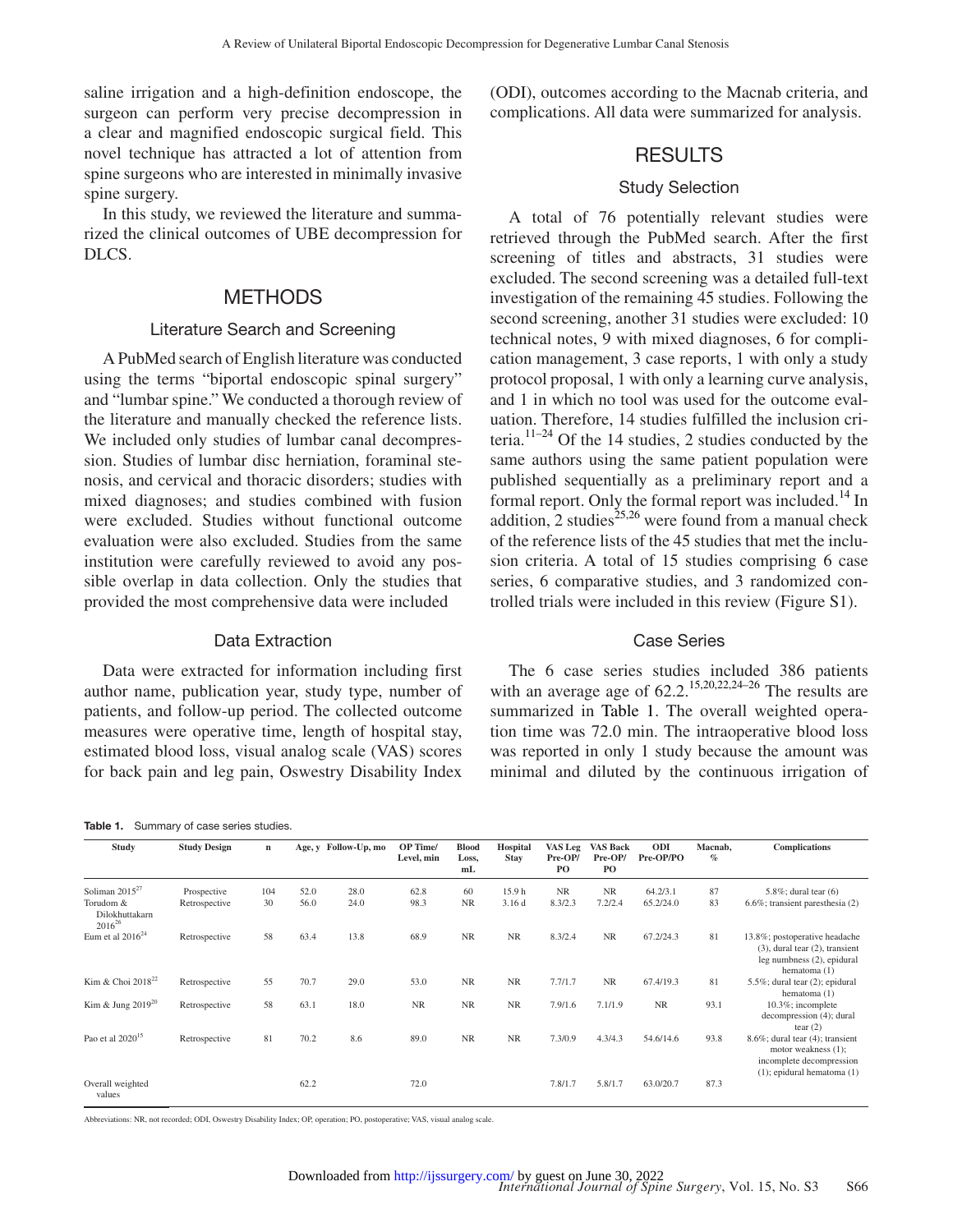saline irrigation and a high-definition endoscope, the surgeon can perform very precise decompression in a clear and magnified endoscopic surgical field. This novel technique has attracted a lot of attention from spine surgeons who are interested in minimally invasive spine surgery.

In this study, we reviewed the literature and summarized the clinical outcomes of UBE decompression for DLCS.

#### METHODS

#### Literature Search and Screening

A PubMed search of English literature was conducted using the terms "biportal endoscopic spinal surgery" and "lumbar spine." We conducted a thorough review of the literature and manually checked the reference lists. We included only studies of lumbar canal decompression. Studies of lumbar disc herniation, foraminal stenosis, and cervical and thoracic disorders; studies with mixed diagnoses; and studies combined with fusion were excluded. Studies without functional outcome evaluation were also excluded. Studies from the same institution were carefully reviewed to avoid any possible overlap in data collection. Only the studies that provided the most comprehensive data were included

#### Data Extraction

Data were extracted for information including first author name, publication year, study type, number of patients, and follow-up period. The collected outcome measures were operative time, length of hospital stay, estimated blood loss, visual analog scale (VAS) scores for back pain and leg pain, Oswestry Disability Index

<span id="page-2-0"></span>

| Summary of case series studies.<br>Table 1. |  |
|---------------------------------------------|--|
|---------------------------------------------|--|

(ODI), outcomes according to the Macnab criteria, and complications. All data were summarized for analysis.

## **RESULTS**

#### Study Selection

A total of 76 potentially relevant studies were retrieved through the PubMed search. After the first screening of titles and abstracts, 31 studies were excluded. The second screening was a detailed full-text investigation of the remaining 45 studies. Following the second screening, another 31 studies were excluded: 10 technical notes, 9 with mixed diagnoses, 6 for complication management, 3 case reports, 1 with only a study protocol proposal, 1 with only a learning curve analysis, and 1 in which no tool was used for the outcome evaluation. Therefore, 14 studies fulfilled the inclusion criteria.<sup>11–24</sup> Of the 14 studies, 2 studies conducted by the same authors using the same patient population were published sequentially as a preliminary report and a formal report. Only the formal report was included.<sup>14</sup> In addition, 2 studies $^{25,26}$  $^{25,26}$  $^{25,26}$  were found from a manual check of the reference lists of the 45 studies that met the inclusion criteria. A total of 15 studies comprising 6 case series, 6 comparative studies, and 3 randomized controlled trials were included in this review (Figure S1).

#### Case Series

The 6 case series studies included 386 patients with an average age of  $62.2$ <sup>[15,20,22,24–26](#page-6-6)</sup> The results are summarized in [Table](#page-2-0) 1. The overall weighted operation time was 72.0 min. The intraoperative blood loss was reported in only 1 study because the amount was minimal and diluted by the continuous irrigation of

| Study                                                             | <b>Study Design</b>          | n         |              | Age, y Follow-Up, mo | OP Time/<br>Level, min | <b>Blood</b><br>Loss,<br>mL | Hospital<br><b>Stay</b>    | <b>VAS Leg</b><br>Pre-OP/<br>P <sub>O</sub> | <b>VAS Back</b><br>Pre-OP/<br>PO. | ODI<br>Pre-OP/PO      | Macnab,<br>$\%$ | <b>Complications</b>                                                                                                         |
|-------------------------------------------------------------------|------------------------------|-----------|--------------|----------------------|------------------------|-----------------------------|----------------------------|---------------------------------------------|-----------------------------------|-----------------------|-----------------|------------------------------------------------------------------------------------------------------------------------------|
| Soliman $2015^{27}$<br>Torudom &<br>Dilokhuttakarn<br>$2016^{26}$ | Prospective<br>Retrospective | 104<br>30 | 52.0<br>56.0 | 28.0<br>24.0         | 62.8<br>98.3           | 60<br><b>NR</b>             | 15.9 <sub>h</sub><br>3.16d | <b>NR</b><br>8.3/2.3                        | <b>NR</b><br>7.2/2.4              | 64.2/3.1<br>65.2/24.0 | 87<br>83        | $5.8\%$ ; dural tear $(6)$<br>$6.6\%$ ; transient paresthesia (2)                                                            |
| Eum et al $2016^{24}$                                             | Retrospective                | 58        | 63.4         | 13.8                 | 68.9                   | <b>NR</b>                   | <b>NR</b>                  | 8.3/2.4                                     | <b>NR</b>                         | 67.2/24.3             | 81              | 13.8%; postoperative headache<br>$(3)$ , dural tear $(2)$ , transient<br>leg numbness (2), epidural<br>hematoma $(1)$        |
| Kim & Choi 2018 <sup>22</sup>                                     | Retrospective                | 55        | 70.7         | 29.0                 | 53.0                   | <b>NR</b>                   | <b>NR</b>                  | 7.7/1.7                                     | <b>NR</b>                         | 67.4/19.3             | 81              | 5.5%; dural tear (2); epidural<br>hematoma $(1)$                                                                             |
| Kim & Jung $2019^{20}$                                            | Retrospective                | 58        | 63.1         | 18.0                 | <b>NR</b>              | <b>NR</b>                   | <b>NR</b>                  | 7.9/1.6                                     | 7.1/1.9                           | <b>NR</b>             | 93.1            | 10.3%; incomplete<br>decompression (4); dural<br>tear $(2)$                                                                  |
| Pao et al $2020^{15}$                                             | Retrospective                | 81        | 70.2         | 8.6                  | 89.0                   | <b>NR</b>                   | <b>NR</b>                  | 7.3/0.9                                     | 4.3/4.3                           | 54.6/14.6             | 93.8            | $8.6\%$ ; dural tear $(4)$ ; transient<br>motor weakness (1);<br>incomplete decompression<br>$(1)$ ; epidural hematoma $(1)$ |
| Overall weighted<br>values                                        |                              |           | 62.2         |                      | 72.0                   |                             |                            | 7.8/1.7                                     | 5.8/1.7                           | 63.0/20.7             | 87.3            |                                                                                                                              |

Abbreviations: NR, not recorded; ODI, Oswestry Disability Index; OP, operation; PO, postoperative; VAS, visual analog scale.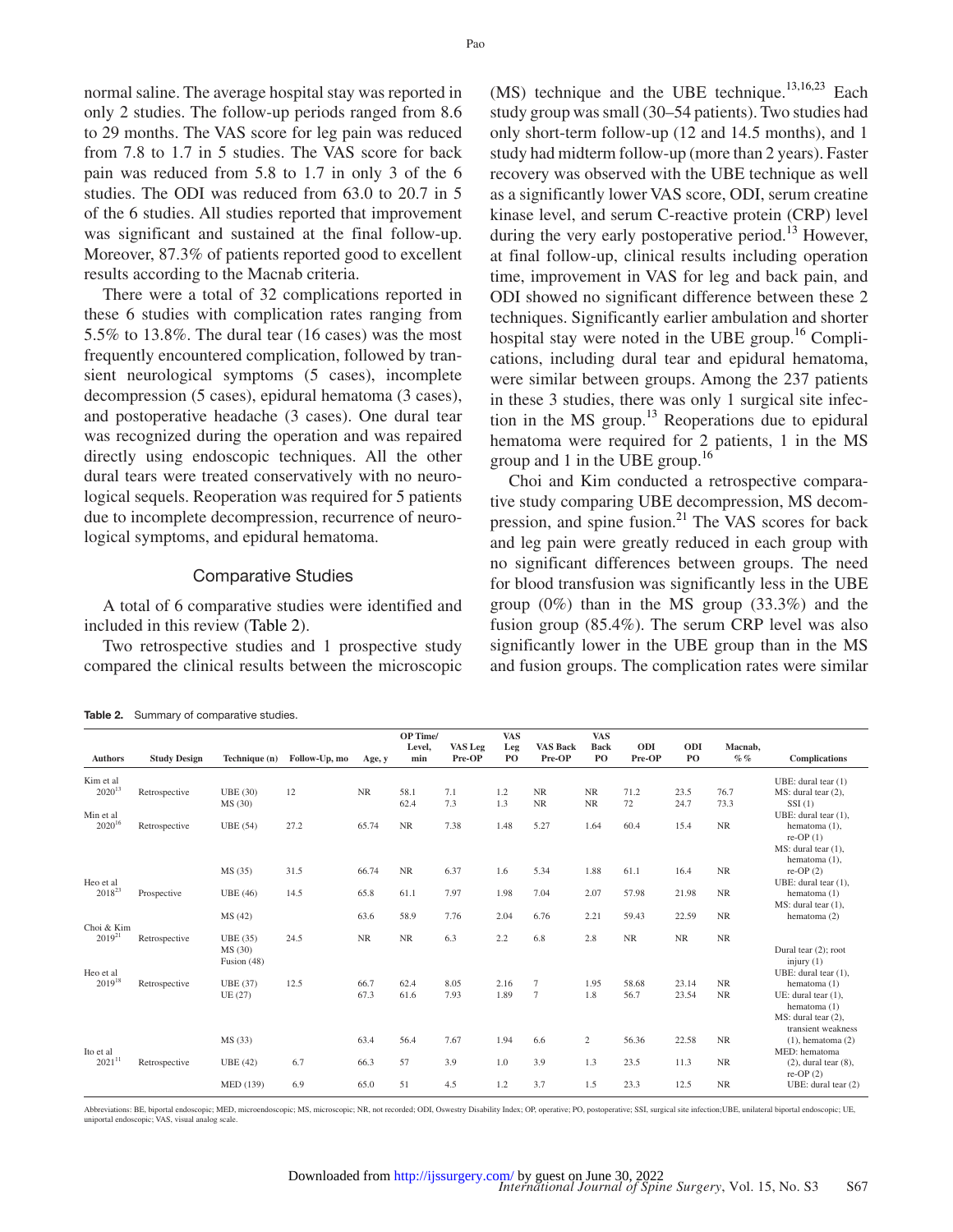normal saline. The average hospital stay was reported in only 2 studies. The follow-up periods ranged from 8.6 to 29 months. The VAS score for leg pain was reduced from 7.8 to 1.7 in 5 studies. The VAS score for back pain was reduced from 5.8 to 1.7 in only 3 of the 6 studies. The ODI was reduced from 63.0 to 20.7 in 5 of the 6 studies. All studies reported that improvement was significant and sustained at the final follow-up. Moreover, 87.3% of patients reported good to excellent results according to the Macnab criteria.

There were a total of 32 complications reported in these 6 studies with complication rates ranging from 5.5% to 13.8%. The dural tear (16 cases) was the most frequently encountered complication, followed by transient neurological symptoms (5 cases), incomplete decompression (5 cases), epidural hematoma (3 cases), and postoperative headache (3 cases). One dural tear was recognized during the operation and was repaired directly using endoscopic techniques. All the other dural tears were treated conservatively with no neurological sequels. Reoperation was required for 5 patients due to incomplete decompression, recurrence of neurological symptoms, and epidural hematoma.

#### Comparative Studies

A total of 6 comparative studies were identified and included in this review [\(Table](#page-3-0) 2).

Two retrospective studies and 1 prospective study compared the clinical results between the microscopic

<span id="page-3-0"></span>

|  | Table 2. Summary of comparative studies. |  |
|--|------------------------------------------|--|
|  |                                          |  |

 $(MS)$  technique and the UBE technique.<sup>13,16,23</sup> Each study group was small (30–54 patients). Two studies had only short-term follow-up (12 and 14.5 months), and 1 study had midterm follow-up (more than 2 years). Faster recovery was observed with the UBE technique as well as a significantly lower VAS score, ODI, serum creatine kinase level, and serum C-reactive protein (CRP) level during the very early postoperative period.<sup>13</sup> However, at final follow-up, clinical results including operation time, improvement in VAS for leg and back pain, and ODI showed no significant difference between these 2 techniques. Significantly earlier ambulation and shorter hospital stay were noted in the UBE group.<sup>16</sup> Complications, including dural tear and epidural hematoma, were similar between groups. Among the 237 patients in these 3 studies, there was only 1 surgical site infection in the MS group. $^{13}$  Reoperations due to epidural hematoma were required for 2 patients, 1 in the MS group and 1 in the UBE group.<sup>[16](#page-6-13)</sup>

Choi and Kim conducted a retrospective comparative study comparing UBE decompression, MS decompression, and spine fusion.<sup>21</sup> The VAS scores for back and leg pain were greatly reduced in each group with no significant differences between groups. The need for blood transfusion was significantly less in the UBE group (0%) than in the MS group (33.3%) and the fusion group (85.4%). The serum CRP level was also significantly lower in the UBE group than in the MS and fusion groups. The complication rates were similar

|                           |                     |                 |               |           | OP Time/<br>Level, | <b>VAS</b> Leg | <b>VAS</b><br>Leg | <b>VAS Back</b> | <b>VAS</b><br><b>Back</b> | ODI       | ODI       | Macnab,   |                                              |
|---------------------------|---------------------|-----------------|---------------|-----------|--------------------|----------------|-------------------|-----------------|---------------------------|-----------|-----------|-----------|----------------------------------------------|
| <b>Authors</b>            | <b>Study Design</b> | Technique (n)   | Follow-Up, mo | Age, y    | min                | Pre-OP         | PO                | Pre-OP          | PO                        | Pre-OP    | PO        | $\%$ $\%$ | <b>Complications</b>                         |
| Kim et al.                |                     |                 |               |           |                    |                |                   |                 |                           |           |           |           | UBE: dural tear $(1)$                        |
| $2020^{13}$               | Retrospective       | <b>UBE</b> (30) | 12            | <b>NR</b> | 58.1               | 7.1            | 1.2               | <b>NR</b>       | <b>NR</b>                 | 71.2      | 23.5      | 76.7      | MS: dural tear (2),                          |
|                           |                     | MS (30)         |               |           | 62.4               | 7.3            | 1.3               | <b>NR</b>       | <b>NR</b>                 | 72        | 24.7      | 73.3      | SSI(1)                                       |
| Min et al                 |                     |                 |               |           |                    |                |                   |                 |                           |           |           |           | UBE: dural tear $(1)$ ,                      |
| $2020^{16}$               | Retrospective       | <b>UBE</b> (54) | 27.2          | 65.74     | NR                 | 7.38           | 1.48              | 5.27            | 1.64                      | 60.4      | 15.4      | <b>NR</b> | hematoma (1),                                |
|                           |                     |                 |               |           |                    |                |                   |                 |                           |           |           |           | re-OP $(1)$<br>MS: dural tear (1),           |
|                           |                     |                 |               |           |                    |                |                   |                 |                           |           |           |           | hematoma (1),                                |
|                           |                     | MS (35)         | 31.5          | 66.74     | <b>NR</b>          | 6.37           | 1.6               | 5.34            | 1.88                      | 61.1      | 16.4      | <b>NR</b> | $re$ -OP $(2)$                               |
| Heo et al                 |                     |                 |               |           |                    |                |                   |                 |                           |           |           |           | UBE: dural tear $(1)$ ,                      |
| 2018 <sup>23</sup>        | Prospective         | <b>UBE</b> (46) | 14.5          | 65.8      | 61.1               | 7.97           | 1.98              | 7.04            | 2.07                      | 57.98     | 21.98     | <b>NR</b> | hematoma (1)                                 |
|                           |                     |                 |               |           |                    |                |                   |                 |                           |           |           |           | MS: dural tear (1),                          |
|                           |                     | MS (42)         |               | 63.6      | 58.9               | 7.76           | 2.04              | 6.76            | 2.21                      | 59.43     | 22.59     | $\rm NR$  | hematoma (2)                                 |
| Choi & Kim<br>$2019^{21}$ | Retrospective       | UBE (35)        | 24.5          | <b>NR</b> | <b>NR</b>          | 6.3            | 2.2               | 6.8             | 2.8                       | <b>NR</b> | <b>NR</b> | <b>NR</b> |                                              |
|                           |                     | MS (30)         |               |           |                    |                |                   |                 |                           |           |           |           | Dural tear (2); root                         |
|                           |                     | Fusion (48)     |               |           |                    |                |                   |                 |                           |           |           |           | injury $(1)$                                 |
| Heo et al                 |                     |                 |               |           |                    |                |                   |                 |                           |           |           |           | UBE: dural tear $(1)$ ,                      |
| $2019^{18}$               | Retrospective       | <b>UBE</b> (37) | 12.5          | 66.7      | 62.4               | 8.05           | 2.16              | $\overline{7}$  | 1.95                      | 58.68     | 23.14     | NR        | hematoma (1)                                 |
|                           |                     | UE (27)         |               | 67.3      | 61.6               | 7.93           | 1.89              | $\overline{7}$  | 1.8                       | 56.7      | 23.54     | NR        | UE: dural tear $(1)$ .                       |
|                           |                     |                 |               |           |                    |                |                   |                 |                           |           |           |           | hematoma (1)                                 |
|                           |                     |                 |               |           |                    |                |                   |                 |                           |           |           |           | MS: dural tear (2).                          |
|                           |                     | MS (33)         |               | 63.4      | 56.4               | 7.67           | 1.94              | 6.6             | $\overline{c}$            | 56.36     | 22.58     | <b>NR</b> | transient weakness<br>$(1)$ , hematoma $(2)$ |
| Ito et al                 |                     |                 |               |           |                    |                |                   |                 |                           |           |           |           | MED: hematoma                                |
| $2021^{11}$               | Retrospective       | <b>UBE</b> (42) | 6.7           | 66.3      | 57                 | 3.9            | 1.0               | 3.9             | 1.3                       | 23.5      | 11.3      | <b>NR</b> | $(2)$ , dural tear $(8)$ ,                   |
|                           |                     |                 |               |           |                    |                |                   |                 |                           |           |           |           | $re$ -OP $(2)$                               |
|                           |                     | MED (139)       | 6.9           | 65.0      | 51                 | 4.5            | 1.2               | 3.7             | 1.5                       | 23.3      | 12.5      | NR        | UBE: dural tear (2)                          |

Abbreviations: BE, biportal endoscopic; MED, microendoscopic; MS, microscopic; NR, not recorded; ODI, Oswestry Disability Index; OP, operative; PO, postoperative; SSI, surgical site infection; UBE, unilateral biportal endo uniportal endoscopic; VAS, visual analog scale.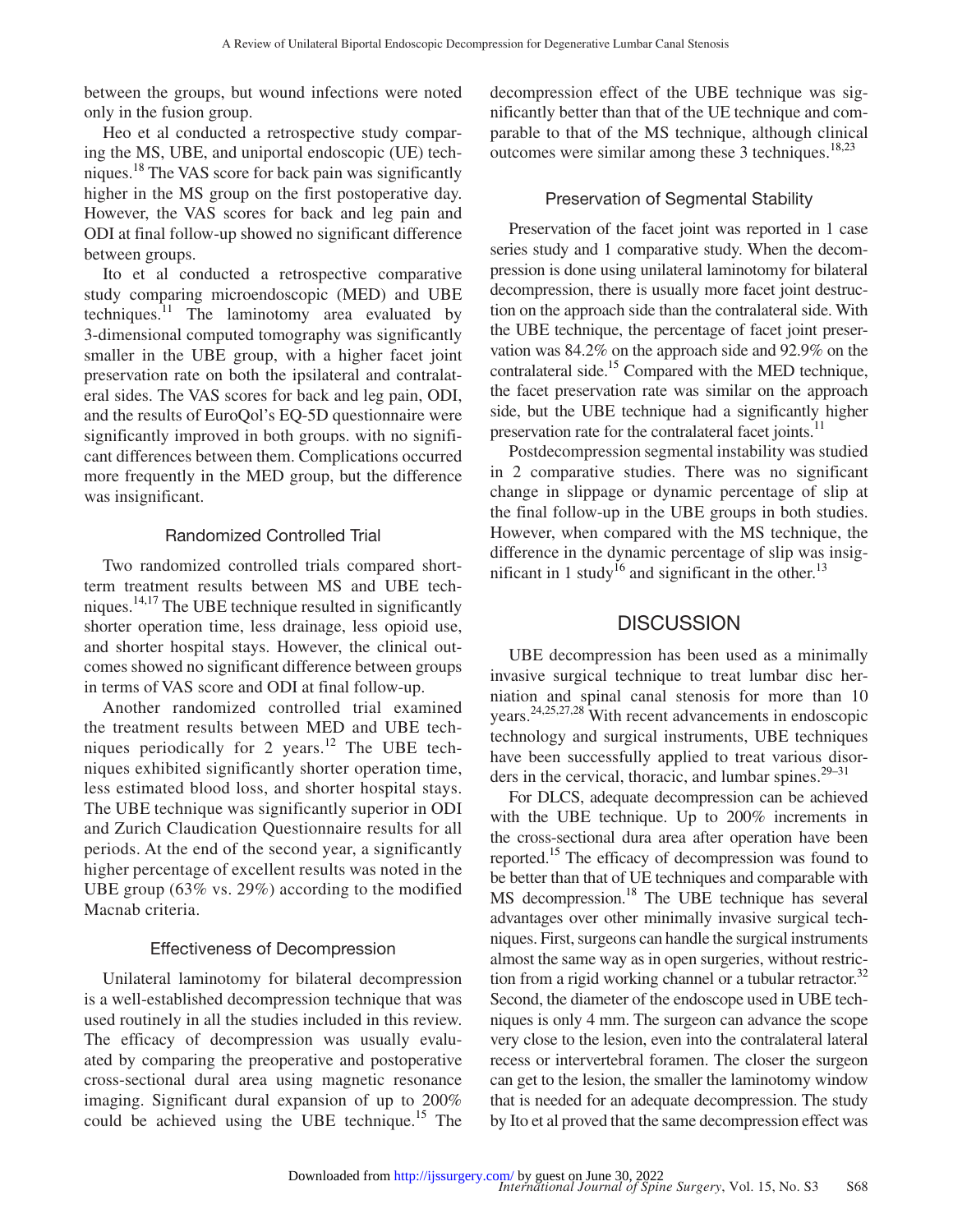between the groups, but wound infections were noted only in the fusion group.

Heo et al conducted a retrospective study comparing the MS, UBE, and uniportal endoscopic (UE) techniques.<sup>18</sup> The VAS score for back pain was significantly higher in the MS group on the first postoperative day. However, the VAS scores for back and leg pain and ODI at final follow-up showed no significant difference between groups.

Ito et al conducted a retrospective comparative study comparing microendoscopic (MED) and UBE techniques. $\frac{11}{1}$  $\frac{11}{1}$  $\frac{11}{1}$  The laminotomy area evaluated by 3-dimensional computed tomography was significantly smaller in the UBE group, with a higher facet joint preservation rate on both the ipsilateral and contralateral sides. The VAS scores for back and leg pain, ODI, and the results of EuroQol's EQ-5D questionnaire were significantly improved in both groups. with no significant differences between them. Complications occurred more frequently in the MED group, but the difference was insignificant.

#### Randomized Controlled Trial

Two randomized controlled trials compared shortterm treatment results between MS and UBE techniques.<sup>14,17</sup> The UBE technique resulted in significantly shorter operation time, less drainage, less opioid use, and shorter hospital stays. However, the clinical outcomes showed no significant difference between groups in terms of VAS score and ODI at final follow-up.

Another randomized controlled trial examined the treatment results between MED and UBE tech-niques periodically for 2 years.<sup>[12](#page-6-16)</sup> The UBE techniques exhibited significantly shorter operation time, less estimated blood loss, and shorter hospital stays. The UBE technique was significantly superior in ODI and Zurich Claudication Questionnaire results for all periods. At the end of the second year, a significantly higher percentage of excellent results was noted in the UBE group (63% vs. 29%) according to the modified Macnab criteria.

#### Effectiveness of Decompression

Unilateral laminotomy for bilateral decompression is a well-established decompression technique that was used routinely in all the studies included in this review. The efficacy of decompression was usually evaluated by comparing the preoperative and postoperative cross-sectional dural area using magnetic resonance imaging. Significant dural expansion of up to 200% could be achieved using the UBE technique.<sup>[15](#page-6-6)</sup> The decompression effect of the UBE technique was significantly better than that of the UE technique and comparable to that of the MS technique, although clinical outcomes were similar among these 3 techniques.<sup>18,23</sup>

#### Preservation of Segmental Stability

Preservation of the facet joint was reported in 1 case series study and 1 comparative study. When the decompression is done using unilateral laminotomy for bilateral decompression, there is usually more facet joint destruction on the approach side than the contralateral side. With the UBE technique, the percentage of facet joint preservation was 84.2% on the approach side and 92.9% on the contralateral side.<sup>15</sup> Compared with the MED technique, the facet preservation rate was similar on the approach side, but the UBE technique had a significantly higher preservation rate for the contralateral facet joints.<sup>11</sup>

Postdecompression segmental instability was studied in 2 comparative studies. There was no significant change in slippage or dynamic percentage of slip at the final follow-up in the UBE groups in both studies. However, when compared with the MS technique, the difference in the dynamic percentage of slip was insignificant in 1 study<sup>16</sup> and significant in the other.<sup>13</sup>

## **DISCUSSION**

UBE decompression has been used as a minimally invasive surgical technique to treat lumbar disc herniation and spinal canal stenosis for more than 10 years.[24,25,27,28](#page-6-9) With recent advancements in endoscopic technology and surgical instruments, UBE techniques have been successfully applied to treat various disorders in the cervical, thoracic, and lumbar spines. $29-31$ 

For DLCS, adequate decompression can be achieved with the UBE technique. Up to 200% increments in the cross-sectional dura area after operation have been reported[.15](#page-6-6) The efficacy of decompression was found to be better than that of UE techniques and comparable with MS decompression.<sup>18</sup> The UBE technique has several advantages over other minimally invasive surgical techniques. First, surgeons can handle the surgical instruments almost the same way as in open surgeries, without restriction from a rigid working channel or a tubular retractor.<sup>32</sup> Second, the diameter of the endoscope used in UBE techniques is only 4 mm. The surgeon can advance the scope very close to the lesion, even into the contralateral lateral recess or intervertebral foramen. The closer the surgeon can get to the lesion, the smaller the laminotomy window that is needed for an adequate decompression. The study by Ito et al proved that the same decompression effect was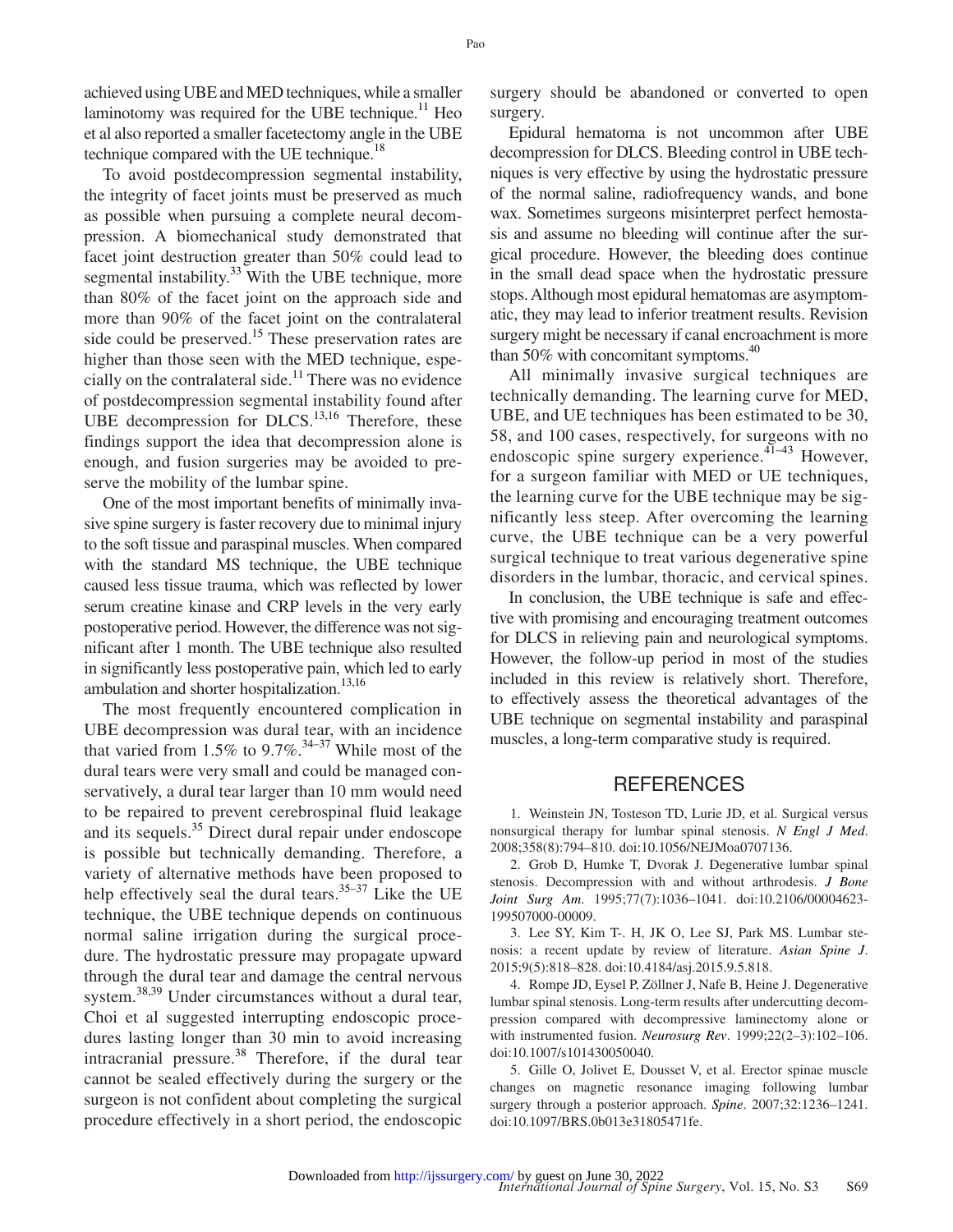achieved using UBE and MED techniques, while a smaller laminotomy was required for the UBE technique. $^{11}$  Heo et al also reported a smaller facetectomy angle in the UBE technique compared with the UE technique.<sup>18</sup>

To avoid postdecompression segmental instability, the integrity of facet joints must be preserved as much as possible when pursuing a complete neural decompression. A biomechanical study demonstrated that facet joint destruction greater than 50% could lead to segmental instability.<sup>[33](#page-6-19)</sup> With the UBE technique, more than 80% of the facet joint on the approach side and more than 90% of the facet joint on the contralateral side could be preserved.<sup>[15](#page-6-6)</sup> These preservation rates are higher than those seen with the MED technique, espe-cially on the contralateral side.<sup>[11](#page-6-3)</sup> There was no evidence of postdecompression segmental instability found after UBE decompression for DLCS. $^{13,16}$  Therefore, these findings support the idea that decompression alone is enough, and fusion surgeries may be avoided to preserve the mobility of the lumbar spine.

One of the most important benefits of minimally invasive spine surgery is faster recovery due to minimal injury to the soft tissue and paraspinal muscles. When compared with the standard MS technique, the UBE technique caused less tissue trauma, which was reflected by lower serum creatine kinase and CRP levels in the very early postoperative period. However, the difference was not significant after 1 month. The UBE technique also resulted in significantly less postoperative pain, which led to early ambulation and shorter hospitalization.<sup>13,16</sup>

The most frequently encountered complication in UBE decompression was dural tear, with an incidence that varied from 1.5% to 9.7%.<sup>34-37</sup> While most of the dural tears were very small and could be managed conservatively, a dural tear larger than 10 mm would need to be repaired to prevent cerebrospinal fluid leakage and its sequels.<sup>35</sup> Direct dural repair under endoscope is possible but technically demanding. Therefore, a variety of alternative methods have been proposed to help effectively seal the dural tears. $35-37$  Like the UE technique, the UBE technique depends on continuous normal saline irrigation during the surgical procedure. The hydrostatic pressure may propagate upward through the dural tear and damage the central nervous system.<sup>[38,39](#page-7-0)</sup> Under circumstances without a dural tear, Choi et al suggested interrupting endoscopic procedures lasting longer than 30 min to avoid increasing intracranial pressure. $38$  Therefore, if the dural tear cannot be sealed effectively during the surgery or the surgeon is not confident about completing the surgical procedure effectively in a short period, the endoscopic

surgery should be abandoned or converted to open surgery.

Epidural hematoma is not uncommon after UBE decompression for DLCS. Bleeding control in UBE techniques is very effective by using the hydrostatic pressure of the normal saline, radiofrequency wands, and bone wax. Sometimes surgeons misinterpret perfect hemostasis and assume no bleeding will continue after the surgical procedure. However, the bleeding does continue in the small dead space when the hydrostatic pressure stops. Although most epidural hematomas are asymptomatic, they may lead to inferior treatment results. Revision surgery might be necessary if canal encroachment is more than 50% with concomitant symptoms. $40$ 

All minimally invasive surgical techniques are technically demanding. The learning curve for MED, UBE, and UE techniques has been estimated to be 30, 58, and 100 cases, respectively, for surgeons with no endoscopic spine surgery experience. $4\overline{1}$ -43 However, for a surgeon familiar with MED or UE techniques, the learning curve for the UBE technique may be significantly less steep. After overcoming the learning curve, the UBE technique can be a very powerful surgical technique to treat various degenerative spine disorders in the lumbar, thoracic, and cervical spines.

In conclusion, the UBE technique is safe and effective with promising and encouraging treatment outcomes for DLCS in relieving pain and neurological symptoms. However, the follow-up period in most of the studies included in this review is relatively short. Therefore, to effectively assess the theoretical advantages of the UBE technique on segmental instability and paraspinal muscles, a long-term comparative study is required.

#### **REFERENCES**

<span id="page-5-0"></span>1. Weinstein JN, Tosteson TD, Lurie JD, et al. Surgical versus nonsurgical therapy for lumbar spinal stenosis. *N Engl J Med*. 2008;358(8):794–810. doi:10.1056/NEJMoa0707136.

<span id="page-5-1"></span>2. Grob D, Humke T, Dvorak J. Degenerative lumbar spinal stenosis. Decompression with and without arthrodesis. *J Bone Joint Surg Am*. 1995;77(7):1036–1041. doi:10.2106/00004623- 199507000-00009.

3. Lee SY, Kim T-. H, JK O, Lee SJ, Park MS. Lumbar stenosis: a recent update by review of literature. *Asian Spine J*. 2015;9(5):818–828. doi:10.4184/asj.2015.9.5.818.

4. Rompe JD, Eysel P, Zöllner J, Nafe B, Heine J. Degenerative lumbar spinal stenosis. Long-term results after undercutting decompression compared with decompressive laminectomy alone or with instrumented fusion. *Neurosurg Rev*. 1999;22(2–3):102–106. doi:10.1007/s101430050040.

<span id="page-5-2"></span>5. Gille O, Jolivet E, Dousset V, et al. Erector spinae muscle changes on magnetic resonance imaging following lumbar surgery through a posterior approach. *Spine*. 2007;32:1236–1241. doi:10.1097/BRS.0b013e31805471fe.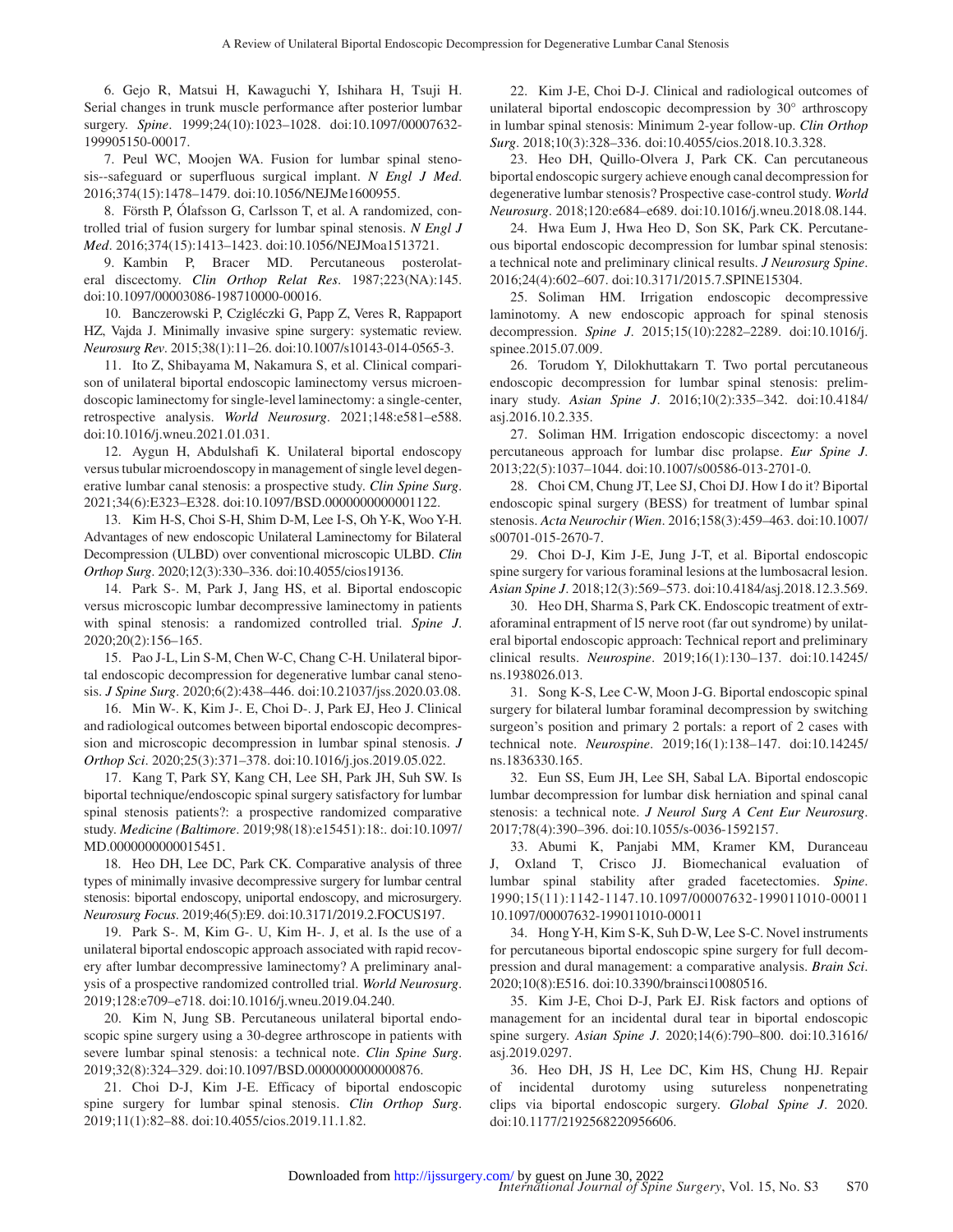6. Gejo R, Matsui H, Kawaguchi Y, Ishihara H, Tsuji H. Serial changes in trunk muscle performance after posterior lumbar surgery. *Spine*. 1999;24(10):1023–1028. doi:10.1097/00007632- 199905150-00017.

<span id="page-6-0"></span>7. Peul WC, Moojen WA. Fusion for lumbar spinal stenosis--safeguard or superfluous surgical implant. *N Engl J Med*. 2016;374(15):1478–1479. doi:10.1056/NEJMe1600955.

8. Försth P, Ólafsson G, Carlsson T, et al. A randomized, controlled trial of fusion surgery for lumbar spinal stenosis. *N Engl J Med*. 2016;374(15):1413–1423. doi:10.1056/NEJMoa1513721.

<span id="page-6-1"></span>9. Kambin P, Bracer MD. Percutaneous posterolateral discectomy. *Clin Orthop Relat Res*. 1987;223(NA):145. doi:10.1097/00003086-198710000-00016.

<span id="page-6-2"></span>10. Banczerowski P, Czigléczki G, Papp Z, Veres R, Rappaport HZ, Vajda J. Minimally invasive spine surgery: systematic review. *Neurosurg Rev*. 2015;38(1):11–26. doi:10.1007/s10143-014-0565-3.

<span id="page-6-3"></span>11. Ito Z, Shibayama M, Nakamura S, et al. Clinical comparison of unilateral biportal endoscopic laminectomy versus microendoscopic laminectomy for single-level laminectomy: a single-center, retrospective analysis. *World Neurosurg*. 2021;148:e581–e588. doi:10.1016/j.wneu.2021.01.031.

<span id="page-6-16"></span>12. Aygun H, Abdulshafi K. Unilateral biportal endoscopy versus tubular microendoscopy in management of single level degenerative lumbar canal stenosis: a prospective study. *Clin Spine Surg*. 2021;34(6):E323–E328. doi:10.1097/BSD.0000000000001122.

<span id="page-6-12"></span>13. Kim H-S, Choi S-H, Shim D-M, Lee I-S, Oh Y-K, Woo Y-H. Advantages of new endoscopic Unilateral Laminectomy for Bilateral Decompression (ULBD) over conventional microscopic ULBD. *Clin Orthop Surg*. 2020;12(3):330–336. doi:10.4055/cios19136.

<span id="page-6-4"></span>14. Park S-. M, Park J, Jang HS, et al. Biportal endoscopic versus microscopic lumbar decompressive laminectomy in patients with spinal stenosis: a randomized controlled trial. *Spine J*. 2020;20(2):156–165.

<span id="page-6-6"></span>15. Pao J-L, Lin S-M, Chen W-C, Chang C-H. Unilateral biportal endoscopic decompression for degenerative lumbar canal stenosis. *J Spine Surg*. 2020;6(2):438–446. doi:10.21037/jss.2020.03.08.

<span id="page-6-13"></span>16. Min W-. K, Kim J-. E, Choi D-. J, Park EJ, Heo J. Clinical and radiological outcomes between biportal endoscopic decompression and microscopic decompression in lumbar spinal stenosis. *J Orthop Sci*. 2020;25(3):371–378. doi:10.1016/j.jos.2019.05.022.

17. Kang T, Park SY, Kang CH, Lee SH, Park JH, Suh SW. Is biportal technique/endoscopic spinal surgery satisfactory for lumbar spinal stenosis patients?: a prospective randomized comparative study. *Medicine (Baltimore*. 2019;98(18):e15451):18:. doi:10.1097/ MD.0000000000015451.

<span id="page-6-15"></span>18. Heo DH, Lee DC, Park CK. Comparative analysis of three types of minimally invasive decompressive surgery for lumbar central stenosis: biportal endoscopy, uniportal endoscopy, and microsurgery. *Neurosurg Focus*. 2019;46(5):E9. doi:10.3171/2019.2.FOCUS197.

19. Park S-. M, Kim G-. U, Kim H-. J, et al. Is the use of a unilateral biportal endoscopic approach associated with rapid recovery after lumbar decompressive laminectomy? A preliminary analysis of a prospective randomized controlled trial. *World Neurosurg*. 2019;128:e709–e718. doi:10.1016/j.wneu.2019.04.240.

<span id="page-6-11"></span>20. Kim N, Jung SB. Percutaneous unilateral biportal endoscopic spine surgery using a 30-degree arthroscope in patients with severe lumbar spinal stenosis: a technical note. *Clin Spine Surg*. 2019;32(8):324–329. doi:10.1097/BSD.0000000000000876.

<span id="page-6-14"></span>21. Choi D-J, Kim J-E. Efficacy of biportal endoscopic spine surgery for lumbar spinal stenosis. *Clin Orthop Surg*. 2019;11(1):82–88. doi:10.4055/cios.2019.11.1.82.

<span id="page-6-10"></span>22. Kim J-E, Choi D-J. Clinical and radiological outcomes of unilateral biportal endoscopic decompression by 30° arthroscopy in lumbar spinal stenosis: Minimum 2-year follow-up. *Clin Orthop Surg*. 2018;10(3):328–336. doi:10.4055/cios.2018.10.3.328.

23. Heo DH, Quillo-Olvera J, Park CK. Can percutaneous biportal endoscopic surgery achieve enough canal decompression for degenerative lumbar stenosis? Prospective case-control study. *World Neurosurg*. 2018;120:e684–e689. doi:10.1016/j.wneu.2018.08.144.

<span id="page-6-9"></span>24. Hwa Eum J, Hwa Heo D, Son SK, Park CK. Percutaneous biportal endoscopic decompression for lumbar spinal stenosis: a technical note and preliminary clinical results. *J Neurosurg Spine*. 2016;24(4):602–607. doi:10.3171/2015.7.SPINE15304.

<span id="page-6-5"></span>25. Soliman HM. Irrigation endoscopic decompressive laminotomy. A new endoscopic approach for spinal stenosis decompression. *Spine J*. 2015;15(10):2282–2289. doi:10.1016/j. spinee.2015.07.009.

<span id="page-6-8"></span>26. Torudom Y, Dilokhuttakarn T. Two portal percutaneous endoscopic decompression for lumbar spinal stenosis: preliminary study. *Asian Spine J*. 2016;10(2):335–342. doi:10.4184/ asj.2016.10.2.335.

<span id="page-6-7"></span>27. Soliman HM. Irrigation endoscopic discectomy: a novel percutaneous approach for lumbar disc prolapse. *Eur Spine J*. 2013;22(5):1037–1044. doi:10.1007/s00586-013-2701-0.

28. Choi CM, Chung JT, Lee SJ, Choi DJ. How I do it? Biportal endoscopic spinal surgery (BESS) for treatment of lumbar spinal stenosis. *Acta Neurochir (Wien*. 2016;158(3):459–463. doi:10.1007/ s00701-015-2670-7.

<span id="page-6-17"></span>29. Choi D-J, Kim J-E, Jung J-T, et al. Biportal endoscopic spine surgery for various foraminal lesions at the lumbosacral lesion. *Asian Spine J*. 2018;12(3):569–573. doi:10.4184/asj.2018.12.3.569.

30. Heo DH, Sharma S, Park CK. Endoscopic treatment of extraforaminal entrapment of l5 nerve root (far out syndrome) by unilateral biportal endoscopic approach: Technical report and preliminary clinical results. *Neurospine*. 2019;16(1):130–137. doi:10.14245/ ns.1938026.013.

31. Song K-S, Lee C-W, Moon J-G. Biportal endoscopic spinal surgery for bilateral lumbar foraminal decompression by switching surgeon's position and primary 2 portals: a report of 2 cases with technical note. *Neurospine*. 2019;16(1):138–147. doi:10.14245/ ns.1836330.165.

<span id="page-6-18"></span>32. Eun SS, Eum JH, Lee SH, Sabal LA. Biportal endoscopic lumbar decompression for lumbar disk herniation and spinal canal stenosis: a technical note. *J Neurol Surg A Cent Eur Neurosurg*. 2017;78(4):390–396. doi:10.1055/s-0036-1592157.

<span id="page-6-19"></span>33. Abumi K, Panjabi MM, Kramer KM, Duranceau J, Oxland T, Crisco JJ. Biomechanical evaluation of lumbar spinal stability after graded facetectomies. *Spine*. 1990;15(11):1142-1147.10.1097/00007632-199011010-00011 10.1097/00007632-199011010-00011

<span id="page-6-20"></span>34. Hong Y-H, Kim S-K, Suh D-W, Lee S-C. Novel instruments for percutaneous biportal endoscopic spine surgery for full decompression and dural management: a comparative analysis. *Brain Sci*. 2020;10(8):E516. doi:10.3390/brainsci10080516.

<span id="page-6-21"></span>35. Kim J-E, Choi D-J, Park EJ. Risk factors and options of management for an incidental dural tear in biportal endoscopic spine surgery. *Asian Spine J*. 2020;14(6):790–800. doi:10.31616/ asj.2019.0297.

36. Heo DH, JS H, Lee DC, Kim HS, Chung HJ. Repair of incidental durotomy using sutureless nonpenetrating clips via biportal endoscopic surgery. *Global Spine J*. 2020. doi:10.1177/2192568220956606.